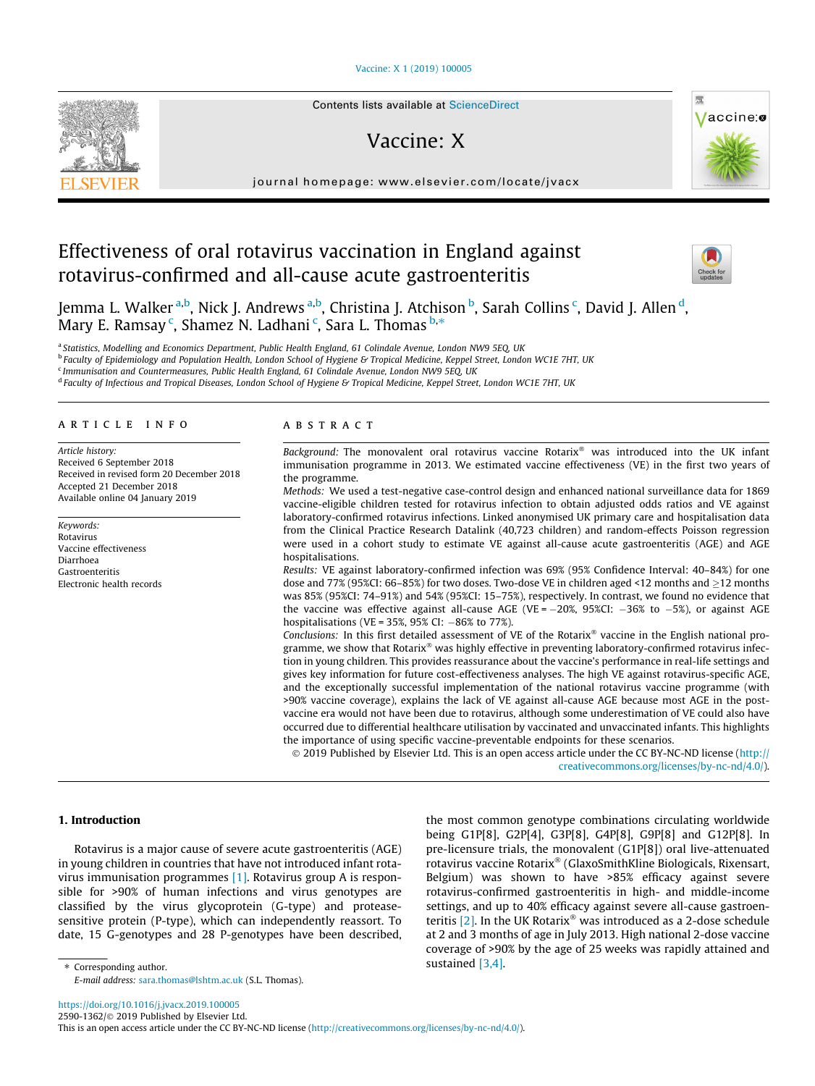## [Vaccine: X 1 \(2019\) 100005](https://doi.org/10.1016/j.jvacx.2019.100005)



# Vaccine: X

journal homepage: [www.elsevier.com/locate/jvacx](http://www.elsevier.com/locate/jvacx)

# Effectiveness of oral rotavirus vaccination in England against rotavirus-confirmed and all-cause acute gastroenteritis



Vaccine:

Jemma L. Walker <sup>a,b</sup>, Nick J. Andrews <sup>a,b</sup>, Christina J. Atchison <sup>b</sup>, Sarah Collins <sup>c</sup>, David J. Allen <sup>d</sup>, Mary E. Ramsay <sup>c</sup>, Shamez N. Ladhani <sup>c</sup>, Sara L. Thomas <sup>b,</sup>\*

a Statistics, Modelling and Economics Department, Public Health England, 61 Colindale Avenue, London NW9 5EQ, UK **b Faculty of Epidemiology and Population Health, London School of Hygiene & Tropical Medicine, Keppel Street, London WC1E 7HT, UK** <sup>c</sup> Immunisation and Countermeasures, Public Health England, 61 Colindale Avenue, London NW9 5EQ, UK <sup>d</sup> Faculty of Infectious and Tropical Diseases, London School of Hygiene & Tropical Medicine, Keppel Street, London WC1E 7HT, UK

# article info

Article history: Received 6 September 2018 Received in revised form 20 December 2018 Accepted 21 December 2018 Available online 04 January 2019

Keywords: Rotavirus Vaccine effectiveness Diarrhoea Gastroenteritis Electronic health records

## ABSTRACT

Background: The monovalent oral rotavirus vaccine Rotarix<sup>®</sup> was introduced into the UK infant immunisation programme in 2013. We estimated vaccine effectiveness (VE) in the first two years of the programme.

Methods: We used a test-negative case-control design and enhanced national surveillance data for 1869 vaccine-eligible children tested for rotavirus infection to obtain adjusted odds ratios and VE against laboratory-confirmed rotavirus infections. Linked anonymised UK primary care and hospitalisation data from the Clinical Practice Research Datalink (40,723 children) and random-effects Poisson regression were used in a cohort study to estimate VE against all-cause acute gastroenteritis (AGE) and AGE hospitalisations.

Results: VE against laboratory-confirmed infection was 69% (95% Confidence Interval: 40–84%) for one dose and 77% (95%CI: 66–85%) for two doses. Two-dose VE in children aged <12 months and  $>$ 12 months was 85% (95%CI: 74–91%) and 54% (95%CI: 15–75%), respectively. In contrast, we found no evidence that the vaccine was effective against all-cause AGE (VE =  $-20\%$ , 95%CI:  $-36\%$  to  $-5\%$ ), or against AGE hospitalisations (VE = 35%, 95% CI:  $-86%$  to 77%).

Conclusions: In this first detailed assessment of VE of the Rotarix® vaccine in the English national programme, we show that Rotarix $\mathscr P$  was highly effective in preventing laboratory-confirmed rotavirus infection in young children. This provides reassurance about the vaccine's performance in real-life settings and gives key information for future cost-effectiveness analyses. The high VE against rotavirus-specific AGE, and the exceptionally successful implementation of the national rotavirus vaccine programme (with >90% vaccine coverage), explains the lack of VE against all-cause AGE because most AGE in the postvaccine era would not have been due to rotavirus, although some underestimation of VE could also have occurred due to differential healthcare utilisation by vaccinated and unvaccinated infants. This highlights the importance of using specific vaccine-preventable endpoints for these scenarios.

 2019 Published by Elsevier Ltd. This is an open access article under the CC BY-NC-ND license ([http://](http://creativecommons.org/licenses/by-nc-nd/4.0/) [creativecommons.org/licenses/by-nc-nd/4.0/](http://creativecommons.org/licenses/by-nc-nd/4.0/)).

### 1. Introduction

Rotavirus is a major cause of severe acute gastroenteritis (AGE) in young children in countries that have not introduced infant rotavirus immunisation programmes [\[1\].](#page-6-0) Rotavirus group A is responsible for >90% of human infections and virus genotypes are classified by the virus glycoprotein (G-type) and proteasesensitive protein (P-type), which can independently reassort. To date, 15 G-genotypes and 28 P-genotypes have been described,

the most common genotype combinations circulating worldwide being G1P[8], G2P[4], G3P[8], G4P[8], G9P[8] and G12P[8]. In pre-licensure trials, the monovalent (G1P[8]) oral live-attenuated rotavirus vaccine Rotarix® (GlaxoSmithKline Biologicals, Rixensart, Belgium) was shown to have >85% efficacy against severe rotavirus-confirmed gastroenteritis in high- and middle-income settings, and up to 40% efficacy against severe all-cause gastroenteritis  $[2]$ . In the UK Rotarix<sup>®</sup> was introduced as a 2-dose schedule at 2 and 3 months of age in July 2013. High national 2-dose vaccine coverage of >90% by the age of 25 weeks was rapidly attained and sustained [\[3,4\].](#page-6-0)

⇑ Corresponding author. E-mail address: [sara.thomas@lshtm.ac.uk](mailto:sara.thomas@lshtm.ac.uk) (S.L. Thomas).

<https://doi.org/10.1016/j.jvacx.2019.100005>

2590-1362/© 2019 Published by Elsevier Ltd.

This is an open access article under the CC BY-NC-ND license ([http://creativecommons.org/licenses/by-nc-nd/4.0/\)](http://creativecommons.org/licenses/by-nc-nd/4.0/).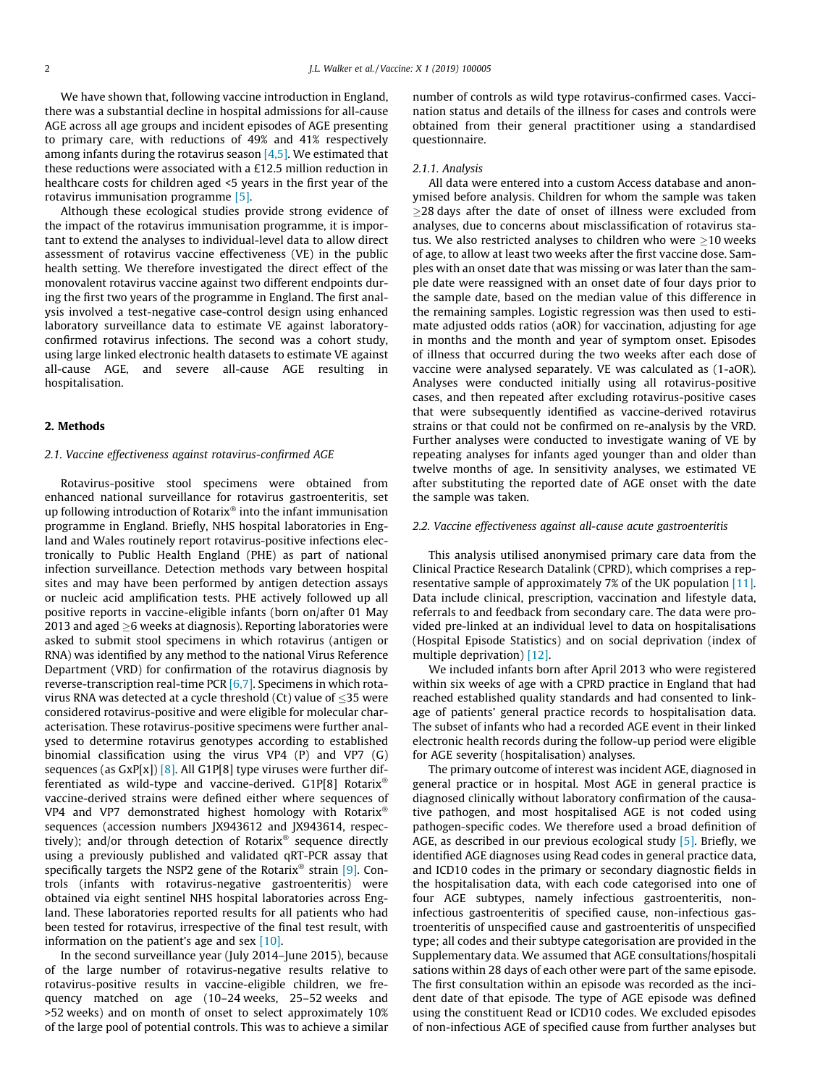We have shown that, following vaccine introduction in England, there was a substantial decline in hospital admissions for all-cause AGE across all age groups and incident episodes of AGE presenting to primary care, with reductions of 49% and 41% respectively among infants during the rotavirus season  $[4,5]$ . We estimated that these reductions were associated with a £12.5 million reduction in healthcare costs for children aged <5 years in the first year of the rotavirus immunisation programme [\[5\]](#page-7-0).

Although these ecological studies provide strong evidence of the impact of the rotavirus immunisation programme, it is important to extend the analyses to individual-level data to allow direct assessment of rotavirus vaccine effectiveness (VE) in the public health setting. We therefore investigated the direct effect of the monovalent rotavirus vaccine against two different endpoints during the first two years of the programme in England. The first analysis involved a test-negative case-control design using enhanced laboratory surveillance data to estimate VE against laboratoryconfirmed rotavirus infections. The second was a cohort study, using large linked electronic health datasets to estimate VE against all-cause AGE, and severe all-cause AGE resulting in hospitalisation.

### 2. Methods

### 2.1. Vaccine effectiveness against rotavirus-confirmed AGE

Rotavirus-positive stool specimens were obtained from enhanced national surveillance for rotavirus gastroenteritis, set up following introduction of Rotarix $\mathscr P$  into the infant immunisation programme in England. Briefly, NHS hospital laboratories in England and Wales routinely report rotavirus-positive infections electronically to Public Health England (PHE) as part of national infection surveillance. Detection methods vary between hospital sites and may have been performed by antigen detection assays or nucleic acid amplification tests. PHE actively followed up all positive reports in vaccine-eligible infants (born on/after 01 May 2013 and aged  $>6$  weeks at diagnosis). Reporting laboratories were asked to submit stool specimens in which rotavirus (antigen or RNA) was identified by any method to the national Virus Reference Department (VRD) for confirmation of the rotavirus diagnosis by reverse-transcription real-time PCR  $[6,7]$ . Specimens in which rotavirus RNA was detected at a cycle threshold (Ct) value of 35 were considered rotavirus-positive and were eligible for molecular characterisation. These rotavirus-positive specimens were further analysed to determine rotavirus genotypes according to established binomial classification using the virus VP4 (P) and VP7 (G) sequences (as  $Gxp[x]$ ) [\[8\]](#page-7-0). All  $G1P[8]$  type viruses were further differentiated as wild-type and vaccine-derived. G1P[8] Rotarix vaccine-derived strains were defined either where sequences of VP4 and VP7 demonstrated highest homology with Rotarix<sup>®</sup> sequences (accession numbers JX943612 and JX943614, respectively); and/or through detection of Rotarix<sup>®</sup> sequence directly using a previously published and validated qRT-PCR assay that specifically targets the NSP2 gene of the Rotarix® strain [\[9\]](#page-7-0). Controls (infants with rotavirus-negative gastroenteritis) were obtained via eight sentinel NHS hospital laboratories across England. These laboratories reported results for all patients who had been tested for rotavirus, irrespective of the final test result, with information on the patient's age and sex [\[10\]](#page-7-0).

In the second surveillance year (July 2014–June 2015), because of the large number of rotavirus-negative results relative to rotavirus-positive results in vaccine-eligible children, we frequency matched on age (10–24 weeks, 25–52 weeks and >52 weeks) and on month of onset to select approximately 10% of the large pool of potential controls. This was to achieve a similar number of controls as wild type rotavirus-confirmed cases. Vaccination status and details of the illness for cases and controls were obtained from their general practitioner using a standardised questionnaire.

#### 2.1.1. Analysis

All data were entered into a custom Access database and anonymised before analysis. Children for whom the sample was taken  $\geq$ 28 days after the date of onset of illness were excluded from analyses, due to concerns about misclassification of rotavirus status. We also restricted analyses to children who were  $>$ 10 weeks of age, to allow at least two weeks after the first vaccine dose. Samples with an onset date that was missing or was later than the sample date were reassigned with an onset date of four days prior to the sample date, based on the median value of this difference in the remaining samples. Logistic regression was then used to estimate adjusted odds ratios (aOR) for vaccination, adjusting for age in months and the month and year of symptom onset. Episodes of illness that occurred during the two weeks after each dose of vaccine were analysed separately. VE was calculated as (1-aOR). Analyses were conducted initially using all rotavirus-positive cases, and then repeated after excluding rotavirus-positive cases that were subsequently identified as vaccine-derived rotavirus strains or that could not be confirmed on re-analysis by the VRD. Further analyses were conducted to investigate waning of VE by repeating analyses for infants aged younger than and older than twelve months of age. In sensitivity analyses, we estimated VE after substituting the reported date of AGE onset with the date the sample was taken.

# 2.2. Vaccine effectiveness against all-cause acute gastroenteritis

This analysis utilised anonymised primary care data from the Clinical Practice Research Datalink (CPRD), which comprises a representative sample of approximately 7% of the UK population [\[11\].](#page-7-0) Data include clinical, prescription, vaccination and lifestyle data, referrals to and feedback from secondary care. The data were provided pre-linked at an individual level to data on hospitalisations (Hospital Episode Statistics) and on social deprivation (index of multiple deprivation) [\[12\]](#page-7-0).

We included infants born after April 2013 who were registered within six weeks of age with a CPRD practice in England that had reached established quality standards and had consented to linkage of patients' general practice records to hospitalisation data. The subset of infants who had a recorded AGE event in their linked electronic health records during the follow-up period were eligible for AGE severity (hospitalisation) analyses.

The primary outcome of interest was incident AGE, diagnosed in general practice or in hospital. Most AGE in general practice is diagnosed clinically without laboratory confirmation of the causative pathogen, and most hospitalised AGE is not coded using pathogen-specific codes. We therefore used a broad definition of AGE, as described in our previous ecological study  $[5]$ . Briefly, we identified AGE diagnoses using Read codes in general practice data, and ICD10 codes in the primary or secondary diagnostic fields in the hospitalisation data, with each code categorised into one of four AGE subtypes, namely infectious gastroenteritis, noninfectious gastroenteritis of specified cause, non-infectious gastroenteritis of unspecified cause and gastroenteritis of unspecified type; all codes and their subtype categorisation are provided in the Supplementary data. We assumed that AGE consultations/hospitali sations within 28 days of each other were part of the same episode. The first consultation within an episode was recorded as the incident date of that episode. The type of AGE episode was defined using the constituent Read or ICD10 codes. We excluded episodes of non-infectious AGE of specified cause from further analyses but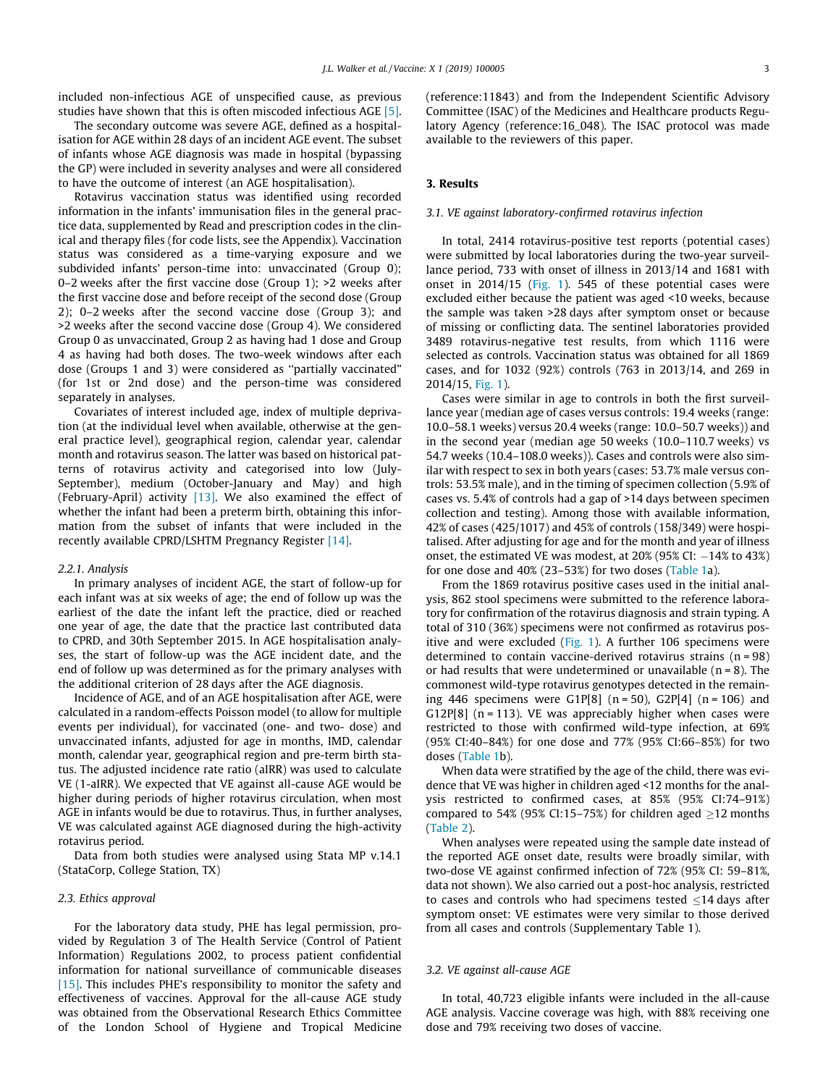included non-infectious AGE of unspecified cause, as previous studies have shown that this is often miscoded infectious AGE [\[5\].](#page-7-0)

The secondary outcome was severe AGE, defined as a hospitalisation for AGE within 28 days of an incident AGE event. The subset of infants whose AGE diagnosis was made in hospital (bypassing the GP) were included in severity analyses and were all considered to have the outcome of interest (an AGE hospitalisation).

Rotavirus vaccination status was identified using recorded information in the infants' immunisation files in the general practice data, supplemented by Read and prescription codes in the clinical and therapy files (for code lists, see the Appendix). Vaccination status was considered as a time-varying exposure and we subdivided infants' person-time into: unvaccinated (Group 0); 0–2 weeks after the first vaccine dose (Group 1); >2 weeks after the first vaccine dose and before receipt of the second dose (Group 2); 0–2 weeks after the second vaccine dose (Group 3); and >2 weeks after the second vaccine dose (Group 4). We considered Group 0 as unvaccinated, Group 2 as having had 1 dose and Group 4 as having had both doses. The two-week windows after each dose (Groups 1 and 3) were considered as ''partially vaccinated" (for 1st or 2nd dose) and the person-time was considered separately in analyses.

Covariates of interest included age, index of multiple deprivation (at the individual level when available, otherwise at the general practice level), geographical region, calendar year, calendar month and rotavirus season. The latter was based on historical patterns of rotavirus activity and categorised into low (July-September), medium (October-January and May) and high (February-April) activity [\[13\]](#page-7-0). We also examined the effect of whether the infant had been a preterm birth, obtaining this information from the subset of infants that were included in the recently available CPRD/LSHTM Pregnancy Register [\[14\]](#page-7-0).

#### 2.2.1. Analysis

In primary analyses of incident AGE, the start of follow-up for each infant was at six weeks of age; the end of follow up was the earliest of the date the infant left the practice, died or reached one year of age, the date that the practice last contributed data to CPRD, and 30th September 2015. In AGE hospitalisation analyses, the start of follow-up was the AGE incident date, and the end of follow up was determined as for the primary analyses with the additional criterion of 28 days after the AGE diagnosis.

Incidence of AGE, and of an AGE hospitalisation after AGE, were calculated in a random-effects Poisson model (to allow for multiple events per individual), for vaccinated (one- and two- dose) and unvaccinated infants, adjusted for age in months, IMD, calendar month, calendar year, geographical region and pre-term birth status. The adjusted incidence rate ratio (aIRR) was used to calculate VE (1-aIRR). We expected that VE against all-cause AGE would be higher during periods of higher rotavirus circulation, when most AGE in infants would be due to rotavirus. Thus, in further analyses, VE was calculated against AGE diagnosed during the high-activity rotavirus period.

Data from both studies were analysed using Stata MP v.14.1 (StataCorp, College Station, TX)

### 2.3. Ethics approval

For the laboratory data study, PHE has legal permission, provided by Regulation 3 of The Health Service (Control of Patient Information) Regulations 2002, to process patient confidential information for national surveillance of communicable diseases [\[15\].](#page-7-0) This includes PHE's responsibility to monitor the safety and effectiveness of vaccines. Approval for the all-cause AGE study was obtained from the Observational Research Ethics Committee of the London School of Hygiene and Tropical Medicine (reference:11843) and from the Independent Scientific Advisory Committee (ISAC) of the Medicines and Healthcare products Regulatory Agency (reference:16\_048). The ISAC protocol was made available to the reviewers of this paper.

#### 3. Results

#### 3.1. VE against laboratory-confirmed rotavirus infection

In total, 2414 rotavirus-positive test reports (potential cases) were submitted by local laboratories during the two-year surveillance period, 733 with onset of illness in 2013/14 and 1681 with onset in 2014/15 [\(Fig. 1](#page-3-0)). 545 of these potential cases were excluded either because the patient was aged <10 weeks, because the sample was taken >28 days after symptom onset or because of missing or conflicting data. The sentinel laboratories provided 3489 rotavirus-negative test results, from which 1116 were selected as controls. Vaccination status was obtained for all 1869 cases, and for 1032 (92%) controls (763 in 2013/14, and 269 in 2014/15, [Fig. 1\)](#page-3-0).

Cases were similar in age to controls in both the first surveillance year (median age of cases versus controls: 19.4 weeks (range: 10.0–58.1 weeks) versus 20.4 weeks (range: 10.0–50.7 weeks)) and in the second year (median age 50 weeks (10.0–110.7 weeks) vs 54.7 weeks (10.4–108.0 weeks)). Cases and controls were also similar with respect to sex in both years (cases: 53.7% male versus controls: 53.5% male), and in the timing of specimen collection (5.9% of cases vs. 5.4% of controls had a gap of >14 days between specimen collection and testing). Among those with available information, 42% of cases (425/1017) and 45% of controls (158/349) were hospitalised. After adjusting for age and for the month and year of illness onset, the estimated VE was modest, at  $20\%$  (95% CI:  $-14\%$  to 43%) for one dose and 40% (23–53%) for two doses [\(Table 1](#page-4-0)a).

From the 1869 rotavirus positive cases used in the initial analysis, 862 stool specimens were submitted to the reference laboratory for confirmation of the rotavirus diagnosis and strain typing. A total of 310 (36%) specimens were not confirmed as rotavirus positive and were excluded [\(Fig. 1](#page-3-0)). A further 106 specimens were determined to contain vaccine-derived rotavirus strains (n = 98) or had results that were undetermined or unavailable  $(n = 8)$ . The commonest wild-type rotavirus genotypes detected in the remaining 446 specimens were G1P[8]  $(n = 50)$ , G2P[4]  $(n = 106)$  and G12P[8]  $(n = 113)$ . VE was appreciably higher when cases were restricted to those with confirmed wild-type infection, at 69% (95% CI:40–84%) for one dose and 77% (95% CI:66–85%) for two doses [\(Table 1](#page-4-0)b).

When data were stratified by the age of the child, there was evidence that VE was higher in children aged <12 months for the analysis restricted to confirmed cases, at 85% (95% CI:74–91%) compared to 54% (95% CI:15–75%) for children aged  $\geq$ 12 months ([Table 2](#page-4-0)).

When analyses were repeated using the sample date instead of the reported AGE onset date, results were broadly similar, with two-dose VE against confirmed infection of 72% (95% CI: 59–81%, data not shown). We also carried out a post-hoc analysis, restricted to cases and controls who had specimens tested  $\leq$ 14 days after symptom onset: VE estimates were very similar to those derived from all cases and controls (Supplementary Table 1).

## 3.2. VE against all-cause AGE

In total, 40,723 eligible infants were included in the all-cause AGE analysis. Vaccine coverage was high, with 88% receiving one dose and 79% receiving two doses of vaccine.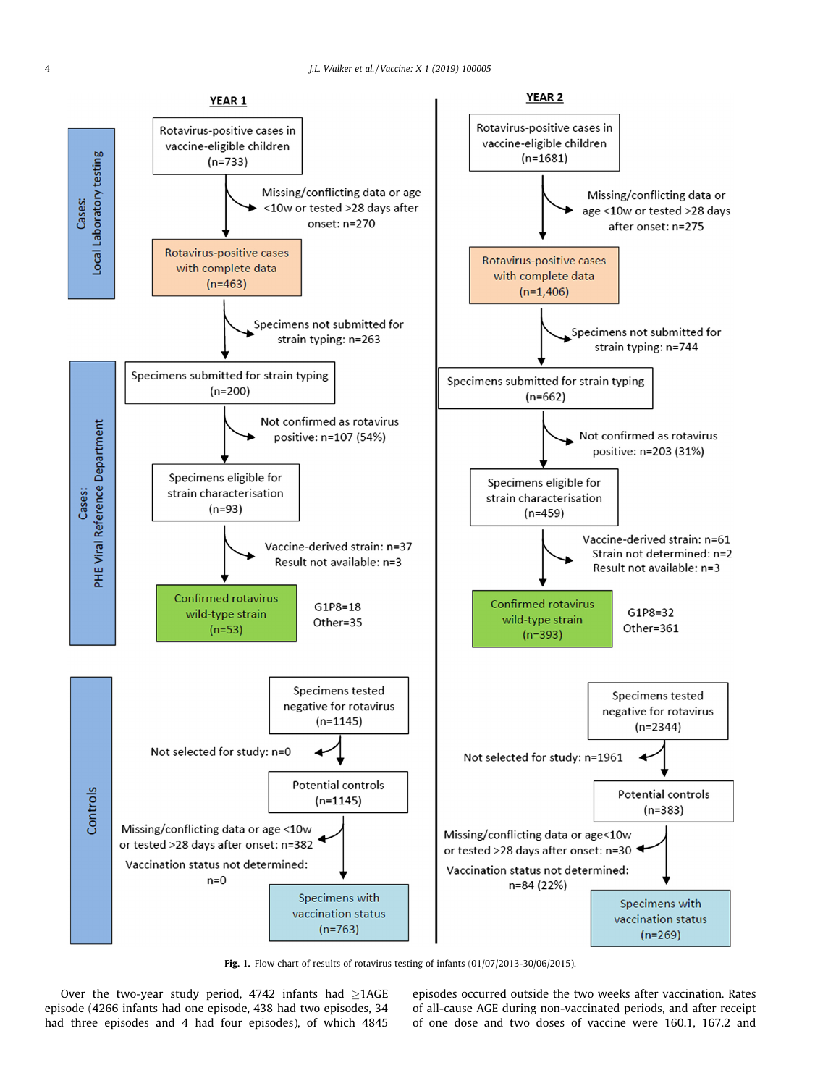<span id="page-3-0"></span>

Fig. 1. Flow chart of results of rotavirus testing of infants (01/07/2013-30/06/2015).

Over the two-year study period, 4742 infants had  $\geq$ 1AGE episode (4266 infants had one episode, 438 had two episodes, 34 had three episodes and 4 had four episodes), of which 4845

episodes occurred outside the two weeks after vaccination. Rates of all-cause AGE during non-vaccinated periods, and after receipt of one dose and two doses of vaccine were 160.1, 167.2 and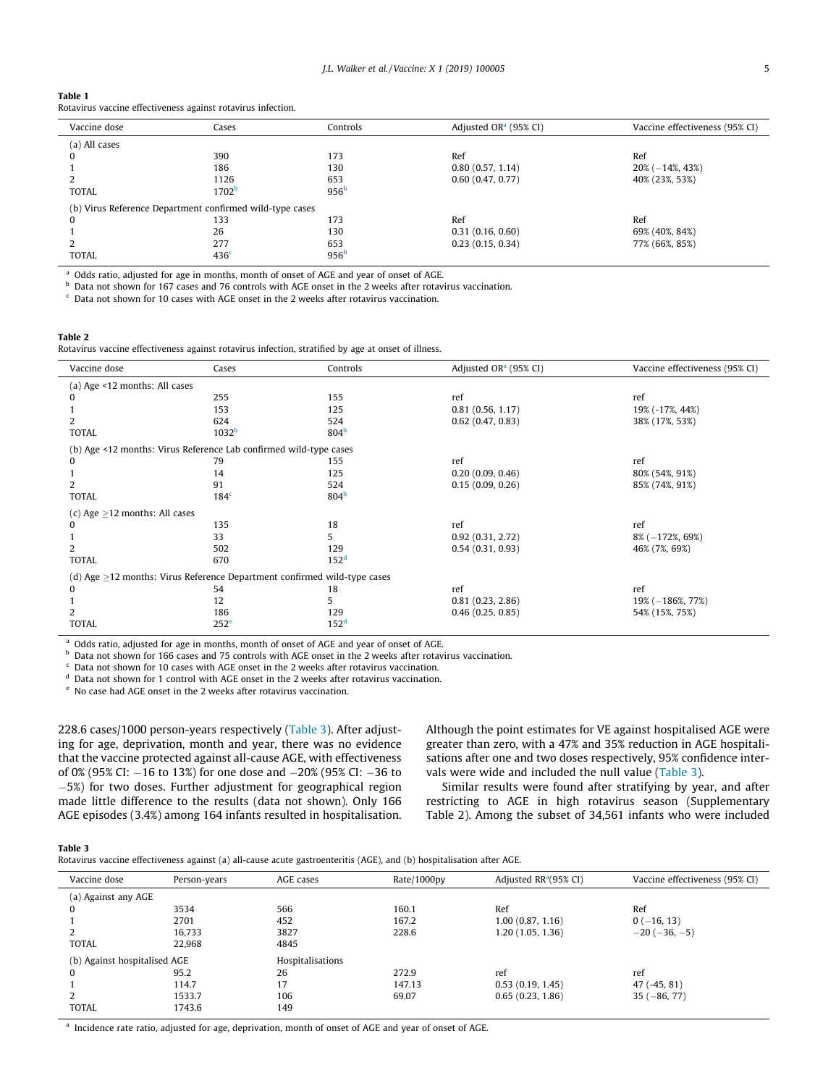## <span id="page-4-0"></span>Table 1

| Rotavirus vaccine effectiveness against rotavirus infection. |  |
|--------------------------------------------------------------|--|
|--------------------------------------------------------------|--|

| Vaccine dose                                             | Cases             | Adjusted OR <sup>a</sup> (95% CI)<br>Controls |                  | Vaccine effectiveness (95% CI) |  |  |
|----------------------------------------------------------|-------------------|-----------------------------------------------|------------------|--------------------------------|--|--|
| (a) All cases                                            |                   |                                               |                  |                                |  |  |
|                                                          | 390               | 173                                           | Ref              | Ref                            |  |  |
|                                                          | 186               | 130                                           | 0.80(0.57, 1.14) | $20\% (-14\%, 43\%)$           |  |  |
|                                                          | 1126              | 653                                           | 0.60(0.47, 0.77) | 40% (23%, 53%)                 |  |  |
| <b>TOTAL</b>                                             | 1702 <sup>b</sup> | 956 <sup>b</sup>                              |                  |                                |  |  |
| (b) Virus Reference Department confirmed wild-type cases |                   |                                               |                  |                                |  |  |
|                                                          | 133               | 173                                           | Ref              | Ref                            |  |  |
|                                                          | 26                | 130                                           | 0.31(0.16, 0.60) | 69% (40%, 84%)                 |  |  |
|                                                          | 277               | 653                                           | 0.23(0.15, 0.34) | 77% (66%, 85%)                 |  |  |
| <b>TOTAL</b>                                             | 436 <sup>c</sup>  | 956 <sup>b</sup>                              |                  |                                |  |  |

<sup>a</sup> Odds ratio, adjusted for age in months, month of onset of AGE and year of onset of AGE.

<sup>b</sup> Data not shown for 167 cases and 76 controls with AGE onset in the 2 weeks after rotavirus vaccination.

 $\epsilon$  Data not shown for 10 cases with AGE onset in the 2 weeks after rotavirus vaccination.

## Table 2

Rotavirus vaccine effectiveness against rotavirus infection, stratified by age at onset of illness.

| Vaccine dose                                                                   | Cases             | Controls         | Adjusted OR <sup>a</sup> (95% CI) | Vaccine effectiveness (95% CI) |  |  |  |  |
|--------------------------------------------------------------------------------|-------------------|------------------|-----------------------------------|--------------------------------|--|--|--|--|
| (a) Age <12 months: All cases                                                  |                   |                  |                                   |                                |  |  |  |  |
| $\Omega$                                                                       | 255               | 155              | ref                               | ref                            |  |  |  |  |
|                                                                                | 153               | 125              | 0.81(0.56, 1.17)                  | 19% (-17%, 44%)                |  |  |  |  |
| 2                                                                              | 624               | 524              | 0.62(0.47, 0.83)                  | 38% (17%, 53%)                 |  |  |  |  |
| <b>TOTAL</b>                                                                   | 1032 <sup>b</sup> | 804 <sup>b</sup> |                                   |                                |  |  |  |  |
| (b) Age <12 months: Virus Reference Lab confirmed wild-type cases              |                   |                  |                                   |                                |  |  |  |  |
| 0                                                                              | 79                | 155              | ref                               | ref                            |  |  |  |  |
|                                                                                | 14                | 125              | 0.20(0.09, 0.46)                  | 80% (54%, 91%)                 |  |  |  |  |
| 2                                                                              | 91                | 524              | 0.15(0.09, 0.26)                  | 85% (74%, 91%)                 |  |  |  |  |
| <b>TOTAL</b>                                                                   | 184 <sup>c</sup>  | 804 <sup>b</sup> |                                   |                                |  |  |  |  |
| (c) Age $\geq$ 12 months: All cases                                            |                   |                  |                                   |                                |  |  |  |  |
| $\bf{0}$                                                                       | 135               | 18               | ref                               | ref                            |  |  |  |  |
|                                                                                | 33                | 5                | 0.92(0.31, 2.72)                  | $8\% (-172\%, 69\%)$           |  |  |  |  |
| 2                                                                              | 502               | 129              | 0.54(0.31, 0.93)                  | 46% (7%, 69%)                  |  |  |  |  |
| <b>TOTAL</b>                                                                   | 670               | 152 <sup>d</sup> |                                   |                                |  |  |  |  |
| (d) Age $\geq$ 12 months: Virus Reference Department confirmed wild-type cases |                   |                  |                                   |                                |  |  |  |  |
| $\bf{0}$                                                                       | 54                | 18               | ref                               | ref                            |  |  |  |  |
|                                                                                | 12                | 5                | 0.81(0.23, 2.86)                  | $19\% (-186\%, 77\%)$          |  |  |  |  |
| 2                                                                              | 186               | 129              | 0.46(0.25, 0.85)                  | 54% (15%, 75%)                 |  |  |  |  |
| <b>TOTAL</b>                                                                   | 252 <sup>e</sup>  | 152 <sup>d</sup> |                                   |                                |  |  |  |  |

<sup>a</sup> Odds ratio, adjusted for age in months, month of onset of AGE and year of onset of AGE.<br><sup>b</sup>. Data not abount for 1CC assessed 75 september with ACE agest in the 2 weeks after ustay

b Data not shown for 166 cases and 75 controls with AGE onset in the 2 weeks after rotavirus vaccination.

Data not shown for 10 cases with AGE onset in the 2 weeks after rotavirus vaccination.

<sup>d</sup> Data not shown for 1 control with AGE onset in the 2 weeks after rotavirus vaccination.

<sup>e</sup> No case had AGE onset in the 2 weeks after rotavirus vaccination.

228.6 cases/1000 person-years respectively (Table 3). After adjusting for age, deprivation, month and year, there was no evidence that the vaccine protected against all-cause AGE, with effectiveness of 0% (95% CI:  $-16$  to 13%) for one dose and  $-20%$  (95% CI:  $-36$  to 5%) for two doses. Further adjustment for geographical region made little difference to the results (data not shown). Only 166 AGE episodes (3.4%) among 164 infants resulted in hospitalisation. Although the point estimates for VE against hospitalised AGE were greater than zero, with a 47% and 35% reduction in AGE hospitalisations after one and two doses respectively, 95% confidence intervals were wide and included the null value (Table 3).

Similar results were found after stratifying by year, and after restricting to AGE in high rotavirus season (Supplementary Table 2). Among the subset of 34,561 infants who were included

# Table 3

|  |  | Rotavirus vaccine effectiveness against (a) all-cause acute gastroenteritis (AGE), and (b) hospitalisation after AGE. |  |  |  |  |
|--|--|-----------------------------------------------------------------------------------------------------------------------|--|--|--|--|
|  |  |                                                                                                                       |  |  |  |  |

| Vaccine dose                 | Person-years | AGE cases        | Rate/1000py | Adjusted $RR^a(95\% \text{ CI})$ | Vaccine effectiveness (95% CI) |
|------------------------------|--------------|------------------|-------------|----------------------------------|--------------------------------|
| (a) Against any AGE          |              |                  |             |                                  |                                |
| 0                            | 3534         | 566              | 160.1       | Ref                              | Ref                            |
|                              | 2701         | 452              | 167.2       | 1.00(0.87, 1.16)                 | $0(-16, 13)$                   |
|                              | 16,733       | 3827             | 228.6       | 1,20(1.05, 1.36)                 | $-20(-36,-5)$                  |
| <b>TOTAL</b>                 | 22,968       | 4845             |             |                                  |                                |
| (b) Against hospitalised AGE |              | Hospitalisations |             |                                  |                                |
| $\Omega$                     | 95.2         | 26               | 272.9       | ref                              | ref                            |
|                              | 114.7        | 17               | 147.13      | 0.53(0.19, 1.45)                 | $47(-45, 81)$                  |
|                              | 1533.7       | 106              | 69.07       | 0.65(0.23, 1.86)                 | $35(-86, 77)$                  |
| <b>TOTAL</b>                 | 1743.6       | 149              |             |                                  |                                |
|                              |              |                  |             |                                  |                                |

<sup>a</sup> Incidence rate ratio, adjusted for age, deprivation, month of onset of AGE and year of onset of AGE.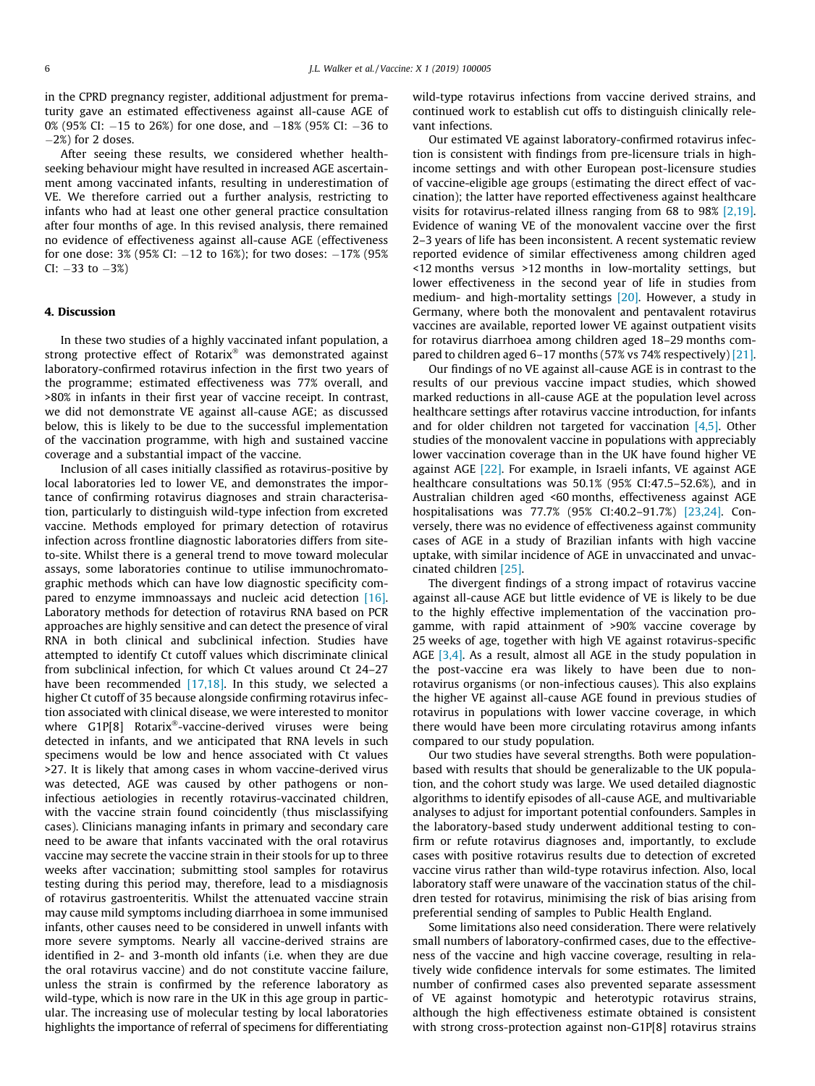in the CPRD pregnancy register, additional adjustment for prematurity gave an estimated effectiveness against all-cause AGE of 0% (95% CI:  $-15$  to 26%) for one dose, and  $-18$ % (95% CI:  $-36$  to  $-2\%$ ) for 2 doses.

After seeing these results, we considered whether healthseeking behaviour might have resulted in increased AGE ascertainment among vaccinated infants, resulting in underestimation of VE. We therefore carried out a further analysis, restricting to infants who had at least one other general practice consultation after four months of age. In this revised analysis, there remained no evidence of effectiveness against all-cause AGE (effectiveness for one dose:  $3\%$  (95% CI:  $-12$  to 16%); for two doses:  $-17\%$  (95%  $CI: -33$  to  $-3\%$ )

### 4. Discussion

In these two studies of a highly vaccinated infant population, a strong protective effect of Rotarix® was demonstrated against laboratory-confirmed rotavirus infection in the first two years of the programme; estimated effectiveness was 77% overall, and >80% in infants in their first year of vaccine receipt. In contrast, we did not demonstrate VE against all-cause AGE; as discussed below, this is likely to be due to the successful implementation of the vaccination programme, with high and sustained vaccine coverage and a substantial impact of the vaccine.

Inclusion of all cases initially classified as rotavirus-positive by local laboratories led to lower VE, and demonstrates the importance of confirming rotavirus diagnoses and strain characterisation, particularly to distinguish wild-type infection from excreted vaccine. Methods employed for primary detection of rotavirus infection across frontline diagnostic laboratories differs from siteto-site. Whilst there is a general trend to move toward molecular assays, some laboratories continue to utilise immunochromatographic methods which can have low diagnostic specificity compared to enzyme immnoassays and nucleic acid detection [\[16\].](#page-7-0) Laboratory methods for detection of rotavirus RNA based on PCR approaches are highly sensitive and can detect the presence of viral RNA in both clinical and subclinical infection. Studies have attempted to identify Ct cutoff values which discriminate clinical from subclinical infection, for which Ct values around Ct 24–27 have been recommended  $[17,18]$ . In this study, we selected a higher Ct cutoff of 35 because alongside confirming rotavirus infection associated with clinical disease, we were interested to monitor where  $G1P[8]$  Rotarix<sup>®</sup>-vaccine-derived viruses were being detected in infants, and we anticipated that RNA levels in such specimens would be low and hence associated with Ct values >27. It is likely that among cases in whom vaccine-derived virus was detected, AGE was caused by other pathogens or noninfectious aetiologies in recently rotavirus-vaccinated children, with the vaccine strain found coincidently (thus misclassifying cases). Clinicians managing infants in primary and secondary care need to be aware that infants vaccinated with the oral rotavirus vaccine may secrete the vaccine strain in their stools for up to three weeks after vaccination; submitting stool samples for rotavirus testing during this period may, therefore, lead to a misdiagnosis of rotavirus gastroenteritis. Whilst the attenuated vaccine strain may cause mild symptoms including diarrhoea in some immunised infants, other causes need to be considered in unwell infants with more severe symptoms. Nearly all vaccine-derived strains are identified in 2- and 3-month old infants (i.e. when they are due the oral rotavirus vaccine) and do not constitute vaccine failure, unless the strain is confirmed by the reference laboratory as wild-type, which is now rare in the UK in this age group in particular. The increasing use of molecular testing by local laboratories highlights the importance of referral of specimens for differentiating wild-type rotavirus infections from vaccine derived strains, and continued work to establish cut offs to distinguish clinically relevant infections.

Our estimated VE against laboratory-confirmed rotavirus infection is consistent with findings from pre-licensure trials in highincome settings and with other European post-licensure studies of vaccine-eligible age groups (estimating the direct effect of vaccination); the latter have reported effectiveness against healthcare visits for rotavirus-related illness ranging from 68 to 98% [\[2,19\].](#page-6-0) Evidence of waning VE of the monovalent vaccine over the first 2–3 years of life has been inconsistent. A recent systematic review reported evidence of similar effectiveness among children aged <12 months versus >12 months in low-mortality settings, but lower effectiveness in the second year of life in studies from medium- and high-mortality settings [\[20\].](#page-7-0) However, a study in Germany, where both the monovalent and pentavalent rotavirus vaccines are available, reported lower VE against outpatient visits for rotavirus diarrhoea among children aged 18–29 months compared to children aged 6–17 months (57% vs 74% respectively) [\[21\].](#page-7-0)

Our findings of no VE against all-cause AGE is in contrast to the results of our previous vaccine impact studies, which showed marked reductions in all-cause AGE at the population level across healthcare settings after rotavirus vaccine introduction, for infants and for older children not targeted for vaccination  $[4,5]$ . Other studies of the monovalent vaccine in populations with appreciably lower vaccination coverage than in the UK have found higher VE against AGE [\[22\].](#page-7-0) For example, in Israeli infants, VE against AGE healthcare consultations was 50.1% (95% CI:47.5-52.6%), and in Australian children aged <60 months, effectiveness against AGE hospitalisations was 77.7% (95% CI:40.2–91.7%) [\[23,24\]](#page-7-0). Conversely, there was no evidence of effectiveness against community cases of AGE in a study of Brazilian infants with high vaccine uptake, with similar incidence of AGE in unvaccinated and unvaccinated children [\[25\]](#page-7-0).

The divergent findings of a strong impact of rotavirus vaccine against all-cause AGE but little evidence of VE is likely to be due to the highly effective implementation of the vaccination progamme, with rapid attainment of >90% vaccine coverage by 25 weeks of age, together with high VE against rotavirus-specific AGE [\[3,4\]](#page-6-0). As a result, almost all AGE in the study population in the post-vaccine era was likely to have been due to nonrotavirus organisms (or non-infectious causes). This also explains the higher VE against all-cause AGE found in previous studies of rotavirus in populations with lower vaccine coverage, in which there would have been more circulating rotavirus among infants compared to our study population.

Our two studies have several strengths. Both were populationbased with results that should be generalizable to the UK population, and the cohort study was large. We used detailed diagnostic algorithms to identify episodes of all-cause AGE, and multivariable analyses to adjust for important potential confounders. Samples in the laboratory-based study underwent additional testing to confirm or refute rotavirus diagnoses and, importantly, to exclude cases with positive rotavirus results due to detection of excreted vaccine virus rather than wild-type rotavirus infection. Also, local laboratory staff were unaware of the vaccination status of the children tested for rotavirus, minimising the risk of bias arising from preferential sending of samples to Public Health England.

Some limitations also need consideration. There were relatively small numbers of laboratory-confirmed cases, due to the effectiveness of the vaccine and high vaccine coverage, resulting in relatively wide confidence intervals for some estimates. The limited number of confirmed cases also prevented separate assessment of VE against homotypic and heterotypic rotavirus strains, although the high effectiveness estimate obtained is consistent with strong cross-protection against non-G1P[8] rotavirus strains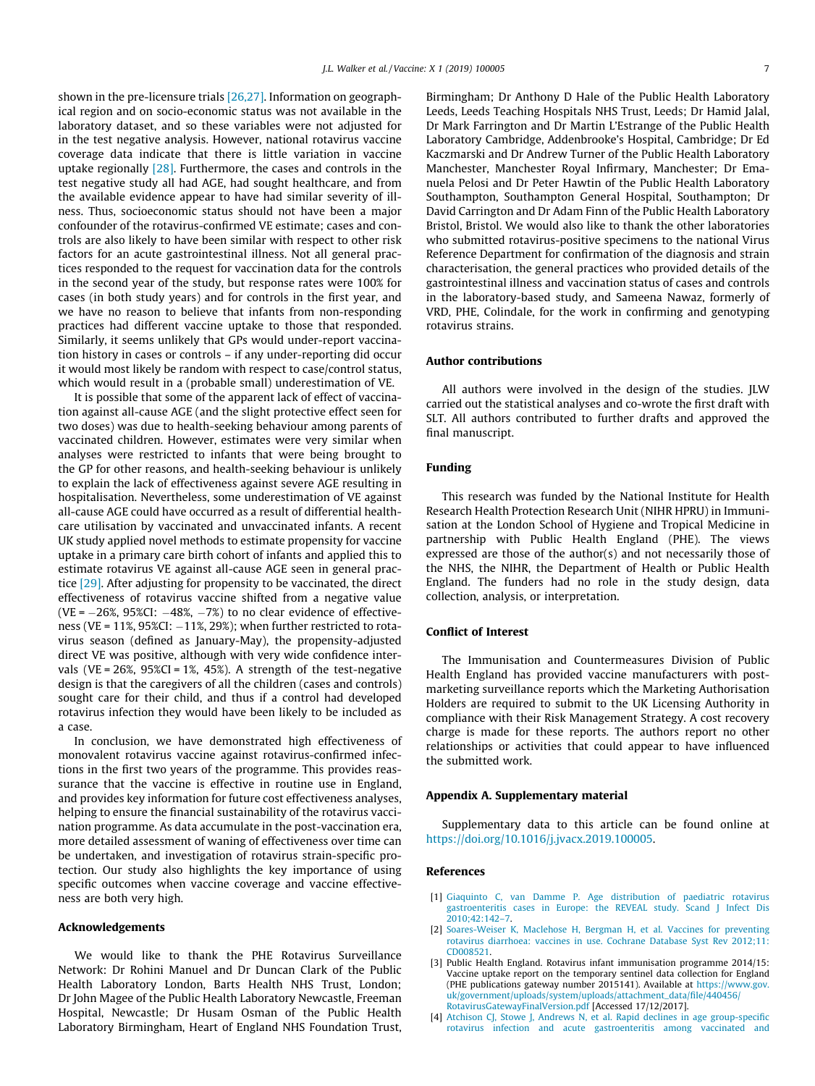<span id="page-6-0"></span>shown in the pre-licensure trials [\[26,27\].](#page-7-0) Information on geographical region and on socio-economic status was not available in the laboratory dataset, and so these variables were not adjusted for in the test negative analysis. However, national rotavirus vaccine coverage data indicate that there is little variation in vaccine uptake regionally [\[28\].](#page-7-0) Furthermore, the cases and controls in the test negative study all had AGE, had sought healthcare, and from the available evidence appear to have had similar severity of illness. Thus, socioeconomic status should not have been a major confounder of the rotavirus-confirmed VE estimate; cases and controls are also likely to have been similar with respect to other risk factors for an acute gastrointestinal illness. Not all general practices responded to the request for vaccination data for the controls in the second year of the study, but response rates were 100% for cases (in both study years) and for controls in the first year, and we have no reason to believe that infants from non-responding practices had different vaccine uptake to those that responded. Similarly, it seems unlikely that GPs would under-report vaccination history in cases or controls – if any under-reporting did occur it would most likely be random with respect to case/control status, which would result in a (probable small) underestimation of VE.

It is possible that some of the apparent lack of effect of vaccination against all-cause AGE (and the slight protective effect seen for two doses) was due to health-seeking behaviour among parents of vaccinated children. However, estimates were very similar when analyses were restricted to infants that were being brought to the GP for other reasons, and health-seeking behaviour is unlikely to explain the lack of effectiveness against severe AGE resulting in hospitalisation. Nevertheless, some underestimation of VE against all-cause AGE could have occurred as a result of differential healthcare utilisation by vaccinated and unvaccinated infants. A recent UK study applied novel methods to estimate propensity for vaccine uptake in a primary care birth cohort of infants and applied this to estimate rotavirus VE against all-cause AGE seen in general practice [\[29\].](#page-7-0) After adjusting for propensity to be vaccinated, the direct effectiveness of rotavirus vaccine shifted from a negative value (VE =  $-26\%$ , 95%CI:  $-48\%$ ,  $-7\%$ ) to no clear evidence of effectiveness (VE =  $11\%$ ,  $95\%$ CI:  $-11\%$ ,  $29\%$ ); when further restricted to rotavirus season (defined as January-May), the propensity-adjusted direct VE was positive, although with very wide confidence intervals (VE =  $26\%$ ,  $95\%$ CI =  $1\%$ ,  $45\%$ ). A strength of the test-negative design is that the caregivers of all the children (cases and controls) sought care for their child, and thus if a control had developed rotavirus infection they would have been likely to be included as a case.

In conclusion, we have demonstrated high effectiveness of monovalent rotavirus vaccine against rotavirus-confirmed infections in the first two years of the programme. This provides reassurance that the vaccine is effective in routine use in England, and provides key information for future cost effectiveness analyses, helping to ensure the financial sustainability of the rotavirus vaccination programme. As data accumulate in the post-vaccination era, more detailed assessment of waning of effectiveness over time can be undertaken, and investigation of rotavirus strain-specific protection. Our study also highlights the key importance of using specific outcomes when vaccine coverage and vaccine effectiveness are both very high.

## Acknowledgements

We would like to thank the PHE Rotavirus Surveillance Network: Dr Rohini Manuel and Dr Duncan Clark of the Public Health Laboratory London, Barts Health NHS Trust, London; Dr John Magee of the Public Health Laboratory Newcastle, Freeman Hospital, Newcastle; Dr Husam Osman of the Public Health Laboratory Birmingham, Heart of England NHS Foundation Trust, Birmingham; Dr Anthony D Hale of the Public Health Laboratory Leeds, Leeds Teaching Hospitals NHS Trust, Leeds; Dr Hamid Jalal, Dr Mark Farrington and Dr Martin L'Estrange of the Public Health Laboratory Cambridge, Addenbrooke's Hospital, Cambridge; Dr Ed Kaczmarski and Dr Andrew Turner of the Public Health Laboratory Manchester, Manchester Royal Infirmary, Manchester; Dr Emanuela Pelosi and Dr Peter Hawtin of the Public Health Laboratory Southampton, Southampton General Hospital, Southampton; Dr David Carrington and Dr Adam Finn of the Public Health Laboratory Bristol, Bristol. We would also like to thank the other laboratories who submitted rotavirus-positive specimens to the national Virus Reference Department for confirmation of the diagnosis and strain characterisation, the general practices who provided details of the gastrointestinal illness and vaccination status of cases and controls in the laboratory-based study, and Sameena Nawaz, formerly of VRD, PHE, Colindale, for the work in confirming and genotyping rotavirus strains.

#### Author contributions

All authors were involved in the design of the studies. JLW carried out the statistical analyses and co-wrote the first draft with SLT. All authors contributed to further drafts and approved the final manuscript.

## Funding

This research was funded by the National Institute for Health Research Health Protection Research Unit (NIHR HPRU) in Immunisation at the London School of Hygiene and Tropical Medicine in partnership with Public Health England (PHE). The views expressed are those of the author(s) and not necessarily those of the NHS, the NIHR, the Department of Health or Public Health England. The funders had no role in the study design, data collection, analysis, or interpretation.

#### Conflict of Interest

The Immunisation and Countermeasures Division of Public Health England has provided vaccine manufacturers with postmarketing surveillance reports which the Marketing Authorisation Holders are required to submit to the UK Licensing Authority in compliance with their Risk Management Strategy. A cost recovery charge is made for these reports. The authors report no other relationships or activities that could appear to have influenced the submitted work.

#### Appendix A. Supplementary material

Supplementary data to this article can be found online at <https://doi.org/10.1016/j.jvacx.2019.100005>.

#### References

- [1] [Giaquinto C, van Damme P. Age distribution of paediatric rotavirus](http://refhub.elsevier.com/S2590-1362(19)30002-6/h0005) [gastroenteritis cases in Europe: the REVEAL study. Scand J Infect Dis](http://refhub.elsevier.com/S2590-1362(19)30002-6/h0005) [2010;42:142–7.](http://refhub.elsevier.com/S2590-1362(19)30002-6/h0005)
- [2] [Soares-Weiser K, Maclehose H, Bergman H, et al. Vaccines for preventing](http://refhub.elsevier.com/S2590-1362(19)30002-6/h0010) [rotavirus diarrhoea: vaccines in use. Cochrane Database Syst Rev 2012;11:](http://refhub.elsevier.com/S2590-1362(19)30002-6/h0010) [CD008521.](http://refhub.elsevier.com/S2590-1362(19)30002-6/h0010)
- [3] Public Health England. Rotavirus infant immunisation programme 2014/15: Vaccine uptake report on the temporary sentinel data collection for England (PHE publications gateway number 2015141). Available at [https://www.gov.](https://www.gov.uk/government/uploads/system/uploads/attachment_data/file/440456/RotavirusGatewayFinalVersion.pdf) [uk/government/uploads/system/uploads/attachment\\_data/file/440456/](https://www.gov.uk/government/uploads/system/uploads/attachment_data/file/440456/RotavirusGatewayFinalVersion.pdf) [RotavirusGatewayFinalVersion.pdf](https://www.gov.uk/government/uploads/system/uploads/attachment_data/file/440456/RotavirusGatewayFinalVersion.pdf) [Accessed 17/12/2017].
- [4] [Atchison CJ, Stowe J, Andrews N, et al. Rapid declines in age group-specific](http://refhub.elsevier.com/S2590-1362(19)30002-6/h0020) [rotavirus infection and acute gastroenteritis among vaccinated and](http://refhub.elsevier.com/S2590-1362(19)30002-6/h0020)